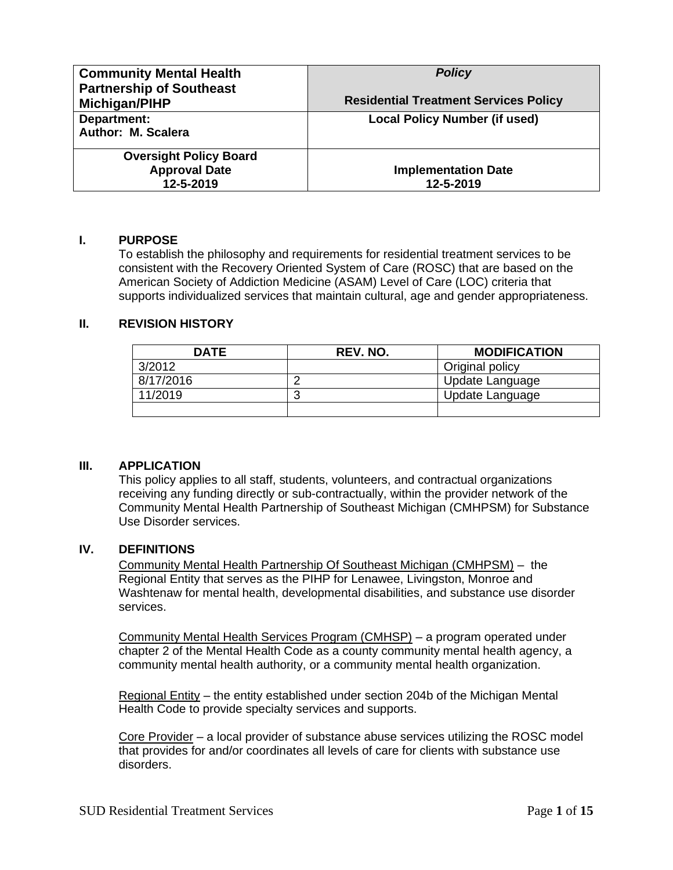| <b>Community Mental Health</b><br><b>Partnership of Southeast</b><br>Michigan/PIHP | <b>Policy</b><br><b>Residential Treatment Services Policy</b> |
|------------------------------------------------------------------------------------|---------------------------------------------------------------|
| Department:<br>Author: M. Scalera                                                  | <b>Local Policy Number (if used)</b>                          |
| <b>Oversight Policy Board</b><br><b>Approval Date</b><br>12-5-2019                 | <b>Implementation Date</b><br>12-5-2019                       |

#### **I. PURPOSE**

To establish the philosophy and requirements for residential treatment services to be consistent with the Recovery Oriented System of Care (ROSC) that are based on the American Society of Addiction Medicine (ASAM) Level of Care (LOC) criteria that supports individualized services that maintain cultural, age and gender appropriateness.

## **II. REVISION HISTORY**

| <b>DATE</b> | REV. NO. | <b>MODIFICATION</b> |
|-------------|----------|---------------------|
| 3/2012      |          | Original policy     |
| 8/17/2016   |          | Update Language     |
| 11/2019     |          | Update Language     |
|             |          |                     |

#### **III. APPLICATION**

This policy applies to all staff, students, volunteers, and contractual organizations receiving any funding directly or sub-contractually, within the provider network of the Community Mental Health Partnership of Southeast Michigan (CMHPSM) for Substance Use Disorder services.

#### **IV. DEFINITIONS**

Community Mental Health Partnership Of Southeast Michigan (CMHPSM) – the Regional Entity that serves as the PIHP for Lenawee, Livingston, Monroe and Washtenaw for mental health, developmental disabilities, and substance use disorder services.

Community Mental Health Services Program (CMHSP) – a program operated under chapter 2 of the Mental Health Code as a county community mental health agency, a community mental health authority, or a community mental health organization.

Regional Entity – the entity established under section 204b of the Michigan Mental Health Code to provide specialty services and supports.

Core Provider – a local provider of substance abuse services utilizing the ROSC model that provides for and/or coordinates all levels of care for clients with substance use disorders.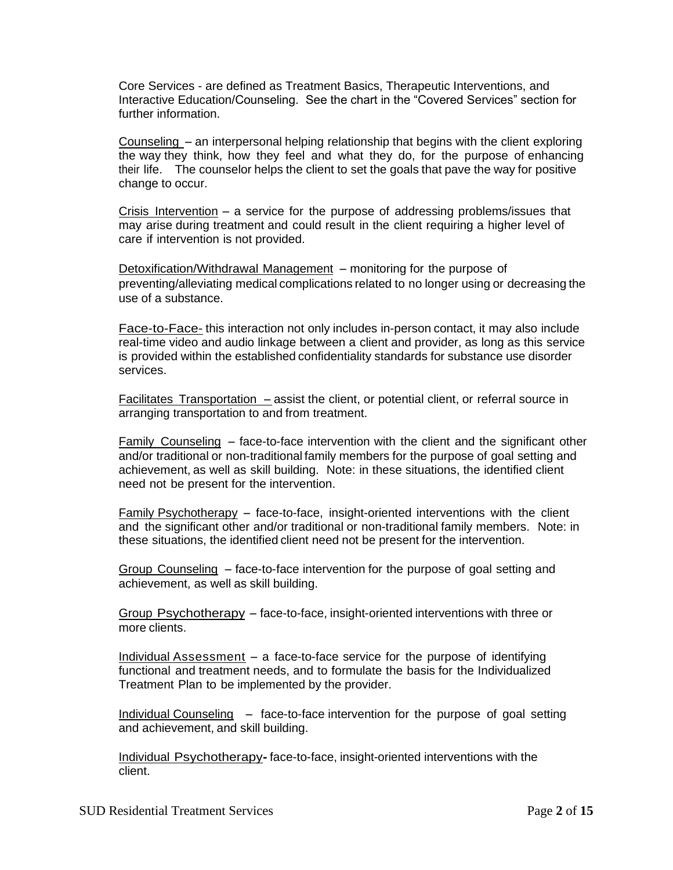Core Services - are defined as Treatment Basics, Therapeutic Interventions, and Interactive Education/Counseling. See the chart in the "Covered Services" section for further information.

Counseling - an interpersonal helping relationship that begins with the client exploring the way they think, how they feel and what they do, for the purpose of enhancing their life. The counselor helps the client to set the goals that pave the way for positive change to occur.

Crisis Intervention - <sup>a</sup> service for the purpose of addressing problems/issues that may arise during treatment and could result in the client requiring a higher level of care if intervention is not provided.

Detoxification/Withdrawal Management – monitoring for the purpose of preventing/alleviating medical complications related to no longer using or decreasing the use of a substance.

Face-to-Face- this interaction not only includes in-person contact, it may also include real-time video and audio linkage between a client and provider, as long as this service is provided within the established confidentiality standards for substance use disorder services.

Facilitates Transportation – assist the client, or potential client, or referral source in arranging transportation to and from treatment.

Family Counseling  $-$  face-to-face intervention with the client and the significant other and/or traditional or non-traditional family members for the purpose of goal setting and achievement, as well as skill building. Note: in these situations, the identified client need not be present for the intervention.

Family Psychotherapy - face-to-face, insight-oriented interventions with the client and the significant other and/or traditional or non-traditional family members. Note: in these situations, the identified client need not be present for the intervention.

Group Counseling – face-to-face intervention for the purpose of goal setting and achievement, as well as skill building.

Group Psychotherapy - face-to-face, insight-oriented interventions with three or more clients.

Individual Assessment  $-$  a face-to-face service for the purpose of identifying functional and treatment needs, and to formulate the basis for the Individualized Treatment Plan to be implemented by the provider.

Individual Counseling- face-to-face intervention for the purpose of goal setting and achievement, and skill building.

Individual Psychotherapy**-** face-to-face, insight-oriented interventions with the client.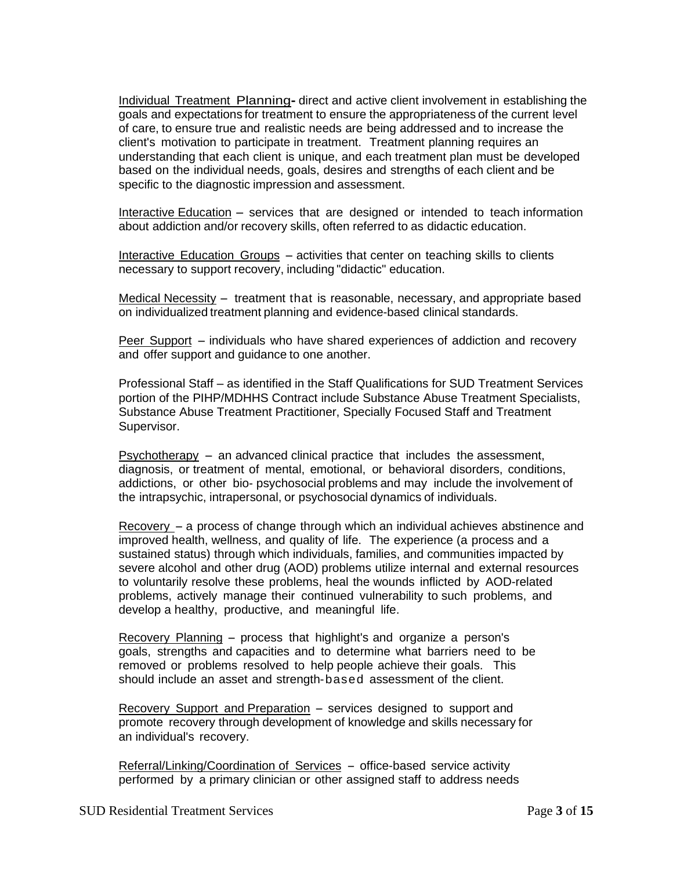Individual Treatment Planning**-** direct and active client involvement in establishing the goals and expectations for treatment to ensure the appropriateness of the current level of care, to ensure true and realistic needs are being addressed and to increase the client's motivation to participate in treatment. Treatment planning requires an understanding that each client is unique, and each treatment plan must be developed based on the individual needs, goals, desires and strengths of each client and be specific to the diagnostic impression and assessment.

Interactive Education – services that are designed or intended to teach information about addiction and/or recovery skills, often referred to as didactic education.

Interactive Education Groups – activities that center on teaching skills to clients necessary to support recovery, including "didactic" education.

Medical Necessity – treatment that is reasonable, necessary, and appropriate based on individualized treatment planning and evidence-based clinical standards.

Peer Support - individuals who have shared experiences of addiction and recovery and offer support and guidance to one another.

Professional Staff – as identified in the Staff Qualifications for SUD Treatment Services portion of the PIHP/MDHHS Contract include Substance Abuse Treatment Specialists, Substance Abuse Treatment Practitioner, Specially Focused Staff and Treatment Supervisor.

 $Psychotherapy - an advanced clinical practice that includes the assessment,$ diagnosis, or treatment of mental, emotional, or behavioral disorders, conditions, addictions, or other bio- psychosocial problems and may include the involvement of the intrapsychic, intrapersonal, or psychosocial dynamics of individuals.

 $Recovery - a process of change through which an individual achieves abstinence and$ improved health, wellness, and quality of life. The experience (a process and a sustained status) through which individuals, families, and communities impacted by severe alcohol and other drug (AOD) problems utilize internal and external resources to voluntarily resolve these problems, heal the wounds inflicted by AOD-related problems, actively manage their continued vulnerability to such problems, and develop a healthy, productive, and meaningful life.

Recovery Planning - process that highlight's and organize <sup>a</sup> person's goals, strengths and capacities and to determine what barriers need to be removed or problems resolved to help people achieve their goals. This should include an asset and strength-based assessment of the client.

Recovery Support and Preparation – services designed to support and promote recovery through development of knowledge and skills necessary for an individual's recovery.

Referral/Linking/Coordination of Services - office-based service activity performed by a primary clinician or other assigned staff to address needs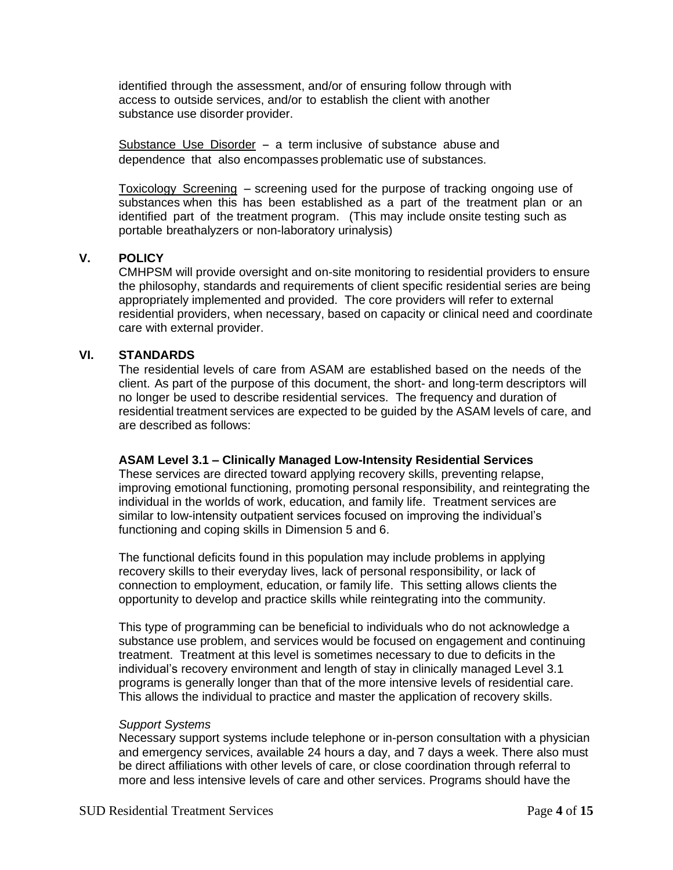identified through the assessment, and/or of ensuring follow through with access to outside services, and/or to establish the client with another substance use disorder provider.

Substance Use Disorder - a term inclusive of substance abuse and dependence that also encompasses problematic use of substances.

Toxicology Screening - screening used for the purpose of tracking ongoing use of substances when this has been established as a part of the treatment plan or an identified part of the treatment program. (This may include onsite testing such as portable breathalyzers or non-laboratory urinalysis)

#### **V. POLICY**

CMHPSM will provide oversight and on-site monitoring to residential providers to ensure the philosophy, standards and requirements of client specific residential series are being appropriately implemented and provided. The core providers will refer to external residential providers, when necessary, based on capacity or clinical need and coordinate care with external provider.

#### **VI. STANDARDS**

The residential levels of care from ASAM are established based on the needs of the client. As part of the purpose of this document, the short- and long-term descriptors will no longer be used to describe residential services. The frequency and duration of residential treatment services are expected to be guided by the ASAM levels of care, and are described as follows:

#### **ASAM Level 3.1 – Clinically Managed Low-Intensity Residential Services**

These services are directed toward applying recovery skills, preventing relapse, improving emotional functioning, promoting personal responsibility, and reintegrating the individual in the worlds of work, education, and family life. Treatment services are similar to low-intensity outpatient services focused on improving the individual's functioning and coping skills in Dimension 5 and 6.

The functional deficits found in this population may include problems in applying recovery skills to their everyday lives, lack of personal responsibility, or lack of connection to employment, education, or family life. This setting allows clients the opportunity to develop and practice skills while reintegrating into the community.

This type of programming can be beneficial to individuals who do not acknowledge a substance use problem, and services would be focused on engagement and continuing treatment. Treatment at this level is sometimes necessary to due to deficits in the individual's recovery environment and length of stay in clinically managed Level 3.1 programs is generally longer than that of the more intensive levels of residential care. This allows the individual to practice and master the application of recovery skills.

#### *Support Systems*

Necessary support systems include telephone or in-person consultation with a physician and emergency services, available 24 hours a day, and 7 days a week. There also must be direct affiliations with other levels of care, or close coordination through referral to more and less intensive levels of care and other services. Programs should have the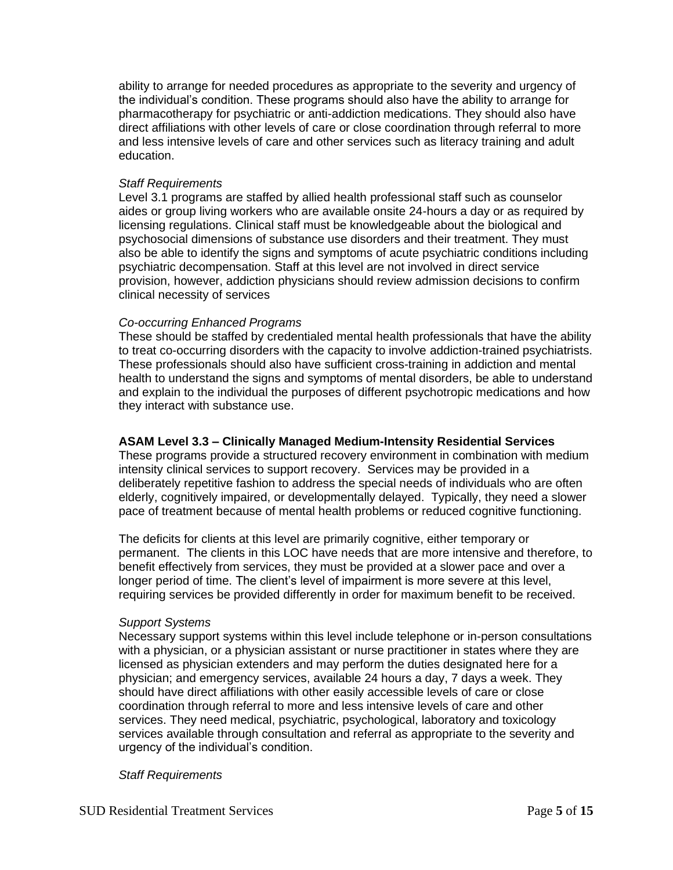ability to arrange for needed procedures as appropriate to the severity and urgency of the individual's condition. These programs should also have the ability to arrange for pharmacotherapy for psychiatric or anti-addiction medications. They should also have direct affiliations with other levels of care or close coordination through referral to more and less intensive levels of care and other services such as literacy training and adult education.

#### *Staff Requirements*

Level 3.1 programs are staffed by allied health professional staff such as counselor aides or group living workers who are available onsite 24-hours a day or as required by licensing regulations. Clinical staff must be knowledgeable about the biological and psychosocial dimensions of substance use disorders and their treatment. They must also be able to identify the signs and symptoms of acute psychiatric conditions including psychiatric decompensation. Staff at this level are not involved in direct service provision, however, addiction physicians should review admission decisions to confirm clinical necessity of services

#### *Co-occurring Enhanced Programs*

These should be staffed by credentialed mental health professionals that have the ability to treat co-occurring disorders with the capacity to involve addiction-trained psychiatrists. These professionals should also have sufficient cross-training in addiction and mental health to understand the signs and symptoms of mental disorders, be able to understand and explain to the individual the purposes of different psychotropic medications and how they interact with substance use.

### **ASAM Level 3.3 – Clinically Managed Medium-Intensity Residential Services**

These programs provide a structured recovery environment in combination with medium intensity clinical services to support recovery. Services may be provided in a deliberately repetitive fashion to address the special needs of individuals who are often elderly, cognitively impaired, or developmentally delayed. Typically, they need a slower pace of treatment because of mental health problems or reduced cognitive functioning.

The deficits for clients at this level are primarily cognitive, either temporary or permanent. The clients in this LOC have needs that are more intensive and therefore, to benefit effectively from services, they must be provided at a slower pace and over a longer period of time. The client's level of impairment is more severe at this level, requiring services be provided differently in order for maximum benefit to be received.

#### *Support Systems*

Necessary support systems within this level include telephone or in-person consultations with a physician, or a physician assistant or nurse practitioner in states where they are licensed as physician extenders and may perform the duties designated here for a physician; and emergency services, available 24 hours a day, 7 days a week. They should have direct affiliations with other easily accessible levels of care or close coordination through referral to more and less intensive levels of care and other services. They need medical, psychiatric, psychological, laboratory and toxicology services available through consultation and referral as appropriate to the severity and urgency of the individual's condition.

#### *Staff Requirements*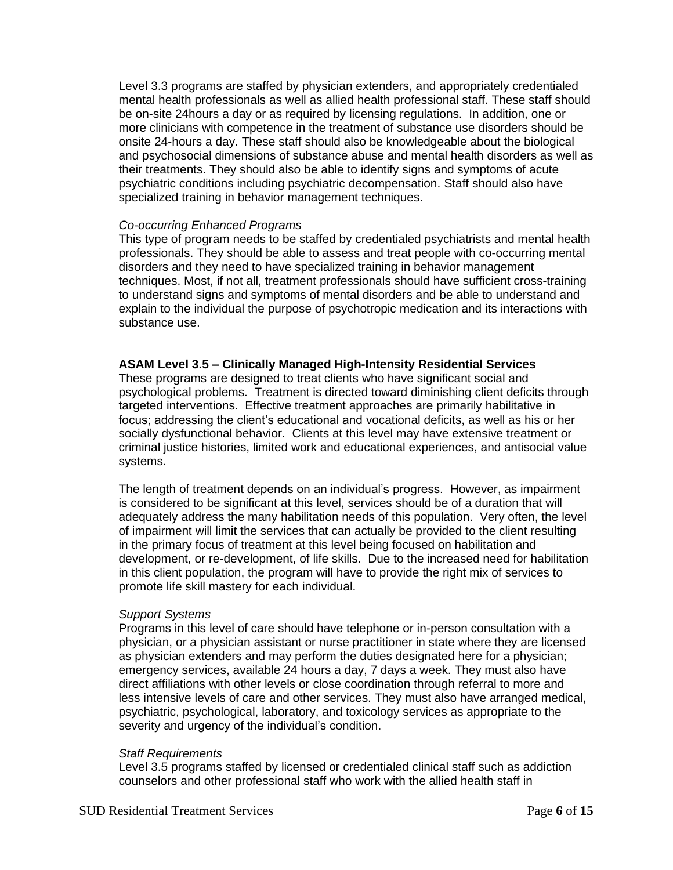Level 3.3 programs are staffed by physician extenders, and appropriately credentialed mental health professionals as well as allied health professional staff. These staff should be on-site 24hours a day or as required by licensing regulations. In addition, one or more clinicians with competence in the treatment of substance use disorders should be onsite 24-hours a day. These staff should also be knowledgeable about the biological and psychosocial dimensions of substance abuse and mental health disorders as well as their treatments. They should also be able to identify signs and symptoms of acute psychiatric conditions including psychiatric decompensation. Staff should also have specialized training in behavior management techniques.

#### *Co-occurring Enhanced Programs*

This type of program needs to be staffed by credentialed psychiatrists and mental health professionals. They should be able to assess and treat people with co-occurring mental disorders and they need to have specialized training in behavior management techniques. Most, if not all, treatment professionals should have sufficient cross-training to understand signs and symptoms of mental disorders and be able to understand and explain to the individual the purpose of psychotropic medication and its interactions with substance use.

#### **ASAM Level 3.5 – Clinically Managed High-Intensity Residential Services**

These programs are designed to treat clients who have significant social and psychological problems. Treatment is directed toward diminishing client deficits through targeted interventions. Effective treatment approaches are primarily habilitative in focus; addressing the client's educational and vocational deficits, as well as his or her socially dysfunctional behavior. Clients at this level may have extensive treatment or criminal justice histories, limited work and educational experiences, and antisocial value systems.

The length of treatment depends on an individual's progress. However, as impairment is considered to be significant at this level, services should be of a duration that will adequately address the many habilitation needs of this population. Very often, the level of impairment will limit the services that can actually be provided to the client resulting in the primary focus of treatment at this level being focused on habilitation and development, or re-development, of life skills. Due to the increased need for habilitation in this client population, the program will have to provide the right mix of services to promote life skill mastery for each individual.

#### *Support Systems*

Programs in this level of care should have telephone or in-person consultation with a physician, or a physician assistant or nurse practitioner in state where they are licensed as physician extenders and may perform the duties designated here for a physician; emergency services, available 24 hours a day, 7 days a week. They must also have direct affiliations with other levels or close coordination through referral to more and less intensive levels of care and other services. They must also have arranged medical, psychiatric, psychological, laboratory, and toxicology services as appropriate to the severity and urgency of the individual's condition.

#### *Staff Requirements*

Level 3.5 programs staffed by licensed or credentialed clinical staff such as addiction counselors and other professional staff who work with the allied health staff in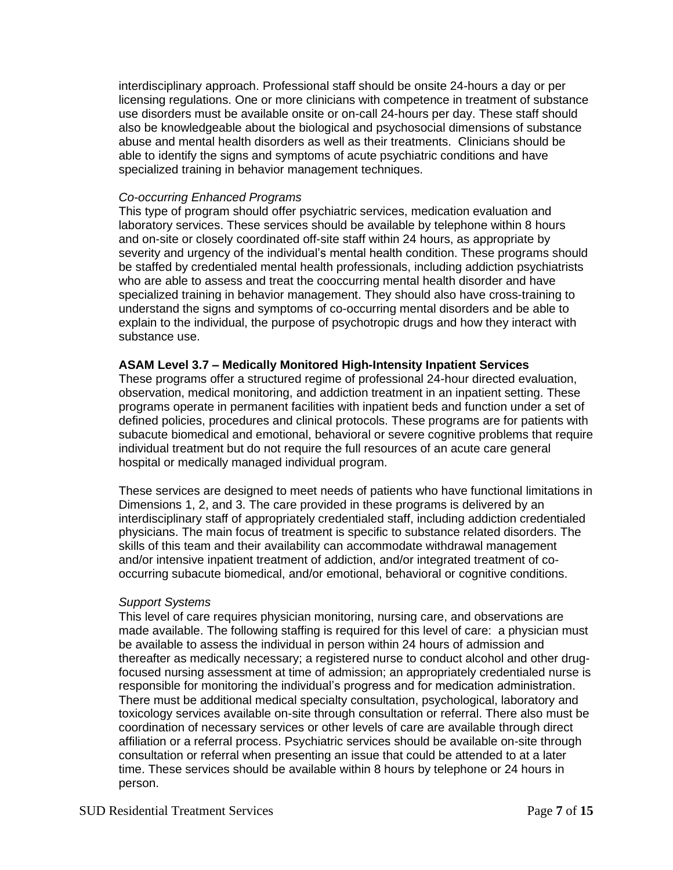interdisciplinary approach. Professional staff should be onsite 24-hours a day or per licensing regulations. One or more clinicians with competence in treatment of substance use disorders must be available onsite or on-call 24-hours per day. These staff should also be knowledgeable about the biological and psychosocial dimensions of substance abuse and mental health disorders as well as their treatments. Clinicians should be able to identify the signs and symptoms of acute psychiatric conditions and have specialized training in behavior management techniques.

## *Co-occurring Enhanced Programs*

This type of program should offer psychiatric services, medication evaluation and laboratory services. These services should be available by telephone within 8 hours and on-site or closely coordinated off-site staff within 24 hours, as appropriate by severity and urgency of the individual's mental health condition. These programs should be staffed by credentialed mental health professionals, including addiction psychiatrists who are able to assess and treat the cooccurring mental health disorder and have specialized training in behavior management. They should also have cross-training to understand the signs and symptoms of co-occurring mental disorders and be able to explain to the individual, the purpose of psychotropic drugs and how they interact with substance use.

# **ASAM Level 3.7 – Medically Monitored High-Intensity Inpatient Services**

These programs offer a structured regime of professional 24-hour directed evaluation, observation, medical monitoring, and addiction treatment in an inpatient setting. These programs operate in permanent facilities with inpatient beds and function under a set of defined policies, procedures and clinical protocols. These programs are for patients with subacute biomedical and emotional, behavioral or severe cognitive problems that require individual treatment but do not require the full resources of an acute care general hospital or medically managed individual program.

These services are designed to meet needs of patients who have functional limitations in Dimensions 1, 2, and 3. The care provided in these programs is delivered by an interdisciplinary staff of appropriately credentialed staff, including addiction credentialed physicians. The main focus of treatment is specific to substance related disorders. The skills of this team and their availability can accommodate withdrawal management and/or intensive inpatient treatment of addiction, and/or integrated treatment of cooccurring subacute biomedical, and/or emotional, behavioral or cognitive conditions.

#### *Support Systems*

This level of care requires physician monitoring, nursing care, and observations are made available. The following staffing is required for this level of care: a physician must be available to assess the individual in person within 24 hours of admission and thereafter as medically necessary; a registered nurse to conduct alcohol and other drugfocused nursing assessment at time of admission; an appropriately credentialed nurse is responsible for monitoring the individual's progress and for medication administration. There must be additional medical specialty consultation, psychological, laboratory and toxicology services available on-site through consultation or referral. There also must be coordination of necessary services or other levels of care are available through direct affiliation or a referral process. Psychiatric services should be available on-site through consultation or referral when presenting an issue that could be attended to at a later time. These services should be available within 8 hours by telephone or 24 hours in person.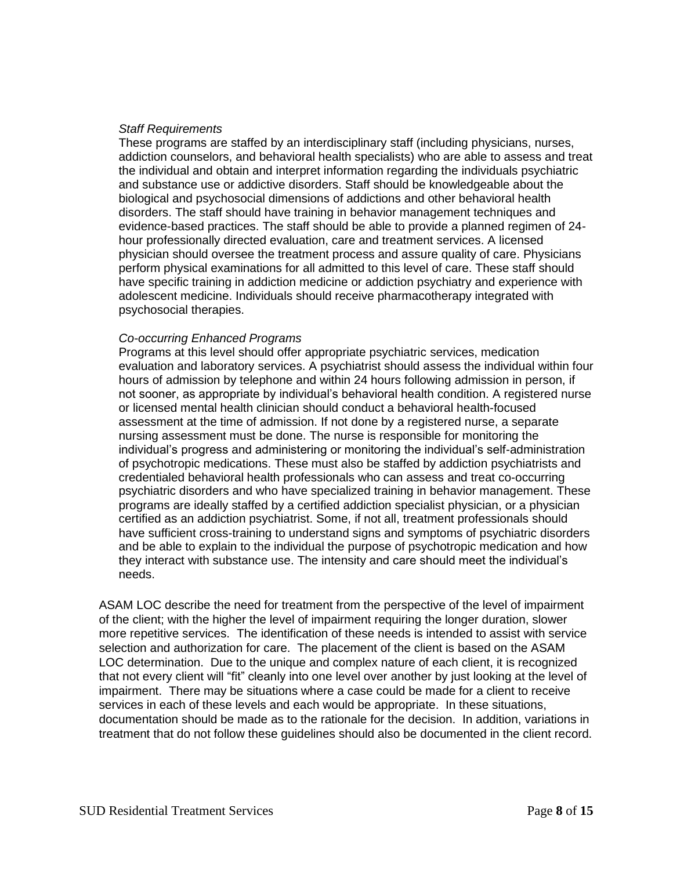#### *Staff Requirements*

These programs are staffed by an interdisciplinary staff (including physicians, nurses, addiction counselors, and behavioral health specialists) who are able to assess and treat the individual and obtain and interpret information regarding the individuals psychiatric and substance use or addictive disorders. Staff should be knowledgeable about the biological and psychosocial dimensions of addictions and other behavioral health disorders. The staff should have training in behavior management techniques and evidence-based practices. The staff should be able to provide a planned regimen of 24 hour professionally directed evaluation, care and treatment services. A licensed physician should oversee the treatment process and assure quality of care. Physicians perform physical examinations for all admitted to this level of care. These staff should have specific training in addiction medicine or addiction psychiatry and experience with adolescent medicine. Individuals should receive pharmacotherapy integrated with psychosocial therapies.

## *Co-occurring Enhanced Programs*

Programs at this level should offer appropriate psychiatric services, medication evaluation and laboratory services. A psychiatrist should assess the individual within four hours of admission by telephone and within 24 hours following admission in person, if not sooner, as appropriate by individual's behavioral health condition. A registered nurse or licensed mental health clinician should conduct a behavioral health-focused assessment at the time of admission. If not done by a registered nurse, a separate nursing assessment must be done. The nurse is responsible for monitoring the individual's progress and administering or monitoring the individual's self-administration of psychotropic medications. These must also be staffed by addiction psychiatrists and credentialed behavioral health professionals who can assess and treat co-occurring psychiatric disorders and who have specialized training in behavior management. These programs are ideally staffed by a certified addiction specialist physician, or a physician certified as an addiction psychiatrist. Some, if not all, treatment professionals should have sufficient cross-training to understand signs and symptoms of psychiatric disorders and be able to explain to the individual the purpose of psychotropic medication and how they interact with substance use. The intensity and care should meet the individual's needs.

ASAM LOC describe the need for treatment from the perspective of the level of impairment of the client; with the higher the level of impairment requiring the longer duration, slower more repetitive services. The identification of these needs is intended to assist with service selection and authorization for care. The placement of the client is based on the ASAM LOC determination. Due to the unique and complex nature of each client, it is recognized that not every client will "fit" cleanly into one level over another by just looking at the level of impairment. There may be situations where a case could be made for a client to receive services in each of these levels and each would be appropriate. In these situations, documentation should be made as to the rationale for the decision. In addition, variations in treatment that do not follow these guidelines should also be documented in the client record.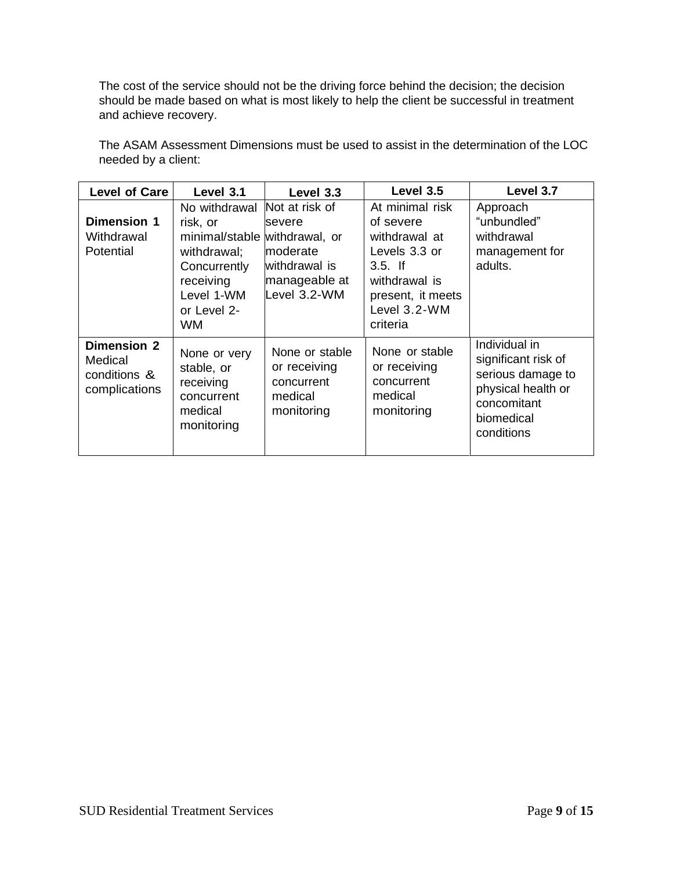The cost of the service should not be the driving force behind the decision; the decision should be made based on what is most likely to help the client be successful in treatment and achieve recovery.

| <b>Level of Care</b>                                           | Level 3.1                                                                                                                                        | Level 3.3                                                                              | Level 3.5                                                                                                                                      | Level 3.7                                                                                                                  |
|----------------------------------------------------------------|--------------------------------------------------------------------------------------------------------------------------------------------------|----------------------------------------------------------------------------------------|------------------------------------------------------------------------------------------------------------------------------------------------|----------------------------------------------------------------------------------------------------------------------------|
| <b>Dimension 1</b><br>Withdrawal<br>Potential                  | No withdrawal<br>risk, or<br>minimal/stable withdrawal, or<br>withdrawal;<br>Concurrently<br>receiving<br>Level 1-WM<br>or Level 2-<br><b>WM</b> | Not at risk of<br>severe<br>moderate<br>withdrawal is<br>manageable at<br>Level 3.2-WM | At minimal risk<br>of severe<br>withdrawal at<br>Levels 3.3 or<br>$3.5$ . If<br>withdrawal is<br>present, it meets<br>Level 3.2-WM<br>criteria | Approach<br>"unbundled"<br>withdrawal<br>management for<br>adults.                                                         |
| <b>Dimension 2</b><br>Medical<br>conditions &<br>complications | None or very<br>stable, or<br>receiving<br>concurrent<br>medical<br>monitoring                                                                   | None or stable<br>or receiving<br>concurrent<br>medical<br>monitoring                  | None or stable<br>or receiving<br>concurrent<br>medical<br>monitoring                                                                          | Individual in<br>significant risk of<br>serious damage to<br>physical health or<br>concomitant<br>biomedical<br>conditions |

The ASAM Assessment Dimensions must be used to assist in the determination of the LOC needed by a client: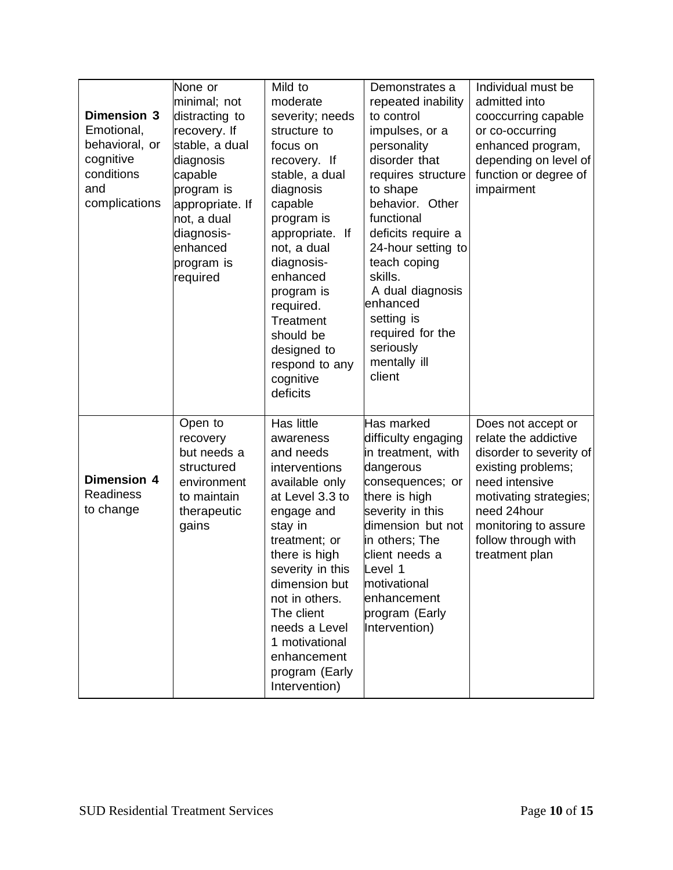| <b>Dimension 3</b><br>Emotional,<br>behavioral, or<br>cognitive<br>conditions<br>and<br>complications | None or<br>minimal; not<br>distracting to<br>recovery. If<br>stable, a dual<br>diagnosis<br>capable<br>program is<br>appropriate. If<br>not, a dual<br>diagnosis-<br>enhanced<br>program is<br>required | Mild to<br>moderate<br>severity; needs<br>structure to<br>focus on<br>recovery. If<br>stable, a dual<br>diagnosis<br>capable<br>program is<br>appropriate. If<br>not, a dual<br>diagnosis-<br>enhanced<br>program is<br>required.<br>Treatment<br>should be<br>designed to<br>respond to any<br>cognitive<br>deficits | Demonstrates a<br>repeated inability<br>to control<br>impulses, or a<br>personality<br>disorder that<br>requires structure<br>to shape<br>behavior. Other<br>functional<br>deficits require a<br>24-hour setting to<br>teach coping<br>skills.<br>A dual diagnosis<br>enhanced<br>setting is<br>required for the<br>seriously<br>mentally ill<br>client | Individual must be<br>admitted into<br>cooccurring capable<br>or co-occurring<br>enhanced program,<br>depending on level of<br>function or degree of<br>impairment                                                      |
|-------------------------------------------------------------------------------------------------------|---------------------------------------------------------------------------------------------------------------------------------------------------------------------------------------------------------|-----------------------------------------------------------------------------------------------------------------------------------------------------------------------------------------------------------------------------------------------------------------------------------------------------------------------|---------------------------------------------------------------------------------------------------------------------------------------------------------------------------------------------------------------------------------------------------------------------------------------------------------------------------------------------------------|-------------------------------------------------------------------------------------------------------------------------------------------------------------------------------------------------------------------------|
| <b>Dimension 4</b><br><b>Readiness</b><br>to change                                                   | Open to<br>recovery<br>but needs a<br>structured<br>environment<br>to maintain<br>therapeutic<br>gains                                                                                                  | Has little<br>awareness<br>and needs<br>interventions<br>available only<br>at Level 3.3 to<br>engage and<br>stay in<br>treatment; or<br>there is high<br>severity in this<br>dimension but<br>not in others.<br>The client<br>needs a Level<br>1 motivational<br>enhancement<br>program (Early<br>Intervention)       | Has marked<br>difficulty engaging<br>in treatment, with<br>dangerous<br>consequences; or<br>there is high<br>severity in this<br>dimension but not<br>in others; The<br>client needs a<br>Level 1<br>motivational<br>enhancement<br>program (Early<br>Intervention)                                                                                     | Does not accept or<br>relate the addictive<br>disorder to severity of<br>existing problems;<br>need intensive<br>motivating strategies;<br>need 24hour<br>monitoring to assure<br>follow through with<br>treatment plan |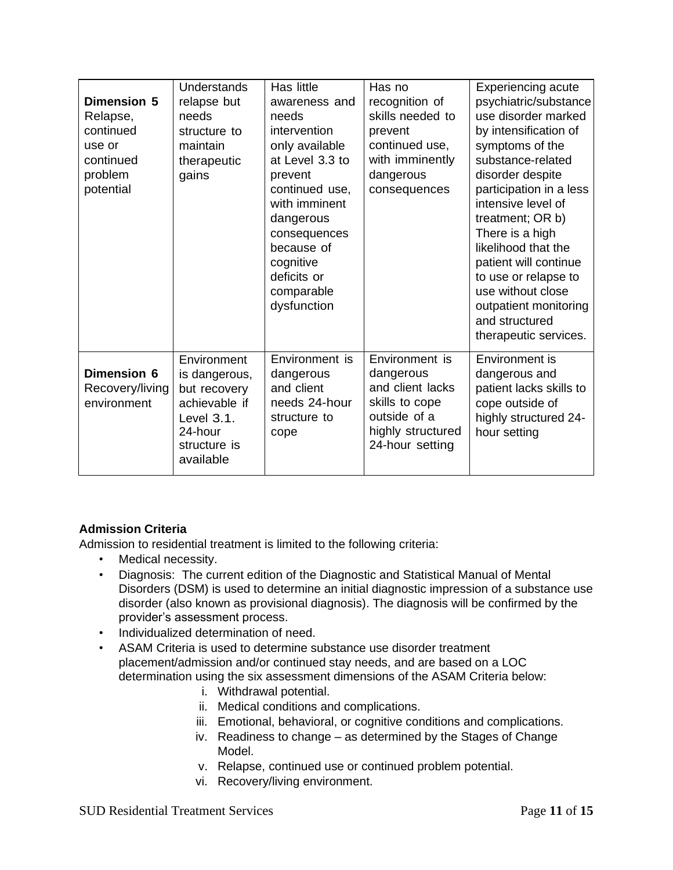| <b>Dimension 5</b><br>Relapse,<br>continued<br>use or<br>continued<br>problem<br>potential | Understands<br>relapse but<br>needs<br>structure to<br>maintain<br>therapeutic<br>gains                             | Has little<br>awareness and<br>needs<br>intervention<br>only available<br>at Level 3.3 to<br>prevent<br>continued use,<br>with imminent<br>dangerous<br>consequences<br>because of<br>cognitive<br>deficits or<br>comparable<br>dysfunction | Has no<br>recognition of<br>skills needed to<br>prevent<br>continued use,<br>with imminently<br>dangerous<br>consequences | <b>Experiencing acute</b><br>psychiatric/substance<br>use disorder marked<br>by intensification of<br>symptoms of the<br>substance-related<br>disorder despite<br>participation in a less<br>intensive level of<br>treatment; OR b)<br>There is a high<br>likelihood that the<br>patient will continue<br>to use or relapse to<br>use without close<br>outpatient monitoring<br>and structured<br>therapeutic services. |
|--------------------------------------------------------------------------------------------|---------------------------------------------------------------------------------------------------------------------|---------------------------------------------------------------------------------------------------------------------------------------------------------------------------------------------------------------------------------------------|---------------------------------------------------------------------------------------------------------------------------|-------------------------------------------------------------------------------------------------------------------------------------------------------------------------------------------------------------------------------------------------------------------------------------------------------------------------------------------------------------------------------------------------------------------------|
| Dimension 6<br>Recovery/living<br>environment                                              | Environment<br>is dangerous,<br>but recovery<br>achievable if<br>Level 3.1.<br>24-hour<br>structure is<br>available | Environment is<br>dangerous<br>and client<br>needs 24-hour<br>structure to<br>cope                                                                                                                                                          | Environment is<br>dangerous<br>and client lacks<br>skills to cope<br>outside of a<br>highly structured<br>24-hour setting | Environment is<br>dangerous and<br>patient lacks skills to<br>cope outside of<br>highly structured 24-<br>hour setting                                                                                                                                                                                                                                                                                                  |

# **Admission Criteria**

Admission to residential treatment is limited to the following criteria:

- Medical necessity.
- Diagnosis: The current edition of the Diagnostic and Statistical Manual of Mental Disorders (DSM) is used to determine an initial diagnostic impression of a substance use disorder (also known as provisional diagnosis). The diagnosis will be confirmed by the provider's assessment process.
- Individualized determination of need.
- ASAM Criteria is used to determine substance use disorder treatment placement/admission and/or continued stay needs, and are based on a LOC determination using the six assessment dimensions of the ASAM Criteria below:
	- i. Withdrawal potential.
	- ii. Medical conditions and complications.
	- iii. Emotional, behavioral, or cognitive conditions and complications.
	- iv. Readiness to change as determined by the Stages of Change Model.
	- v. Relapse, continued use or continued problem potential.
	- vi. Recovery/living environment.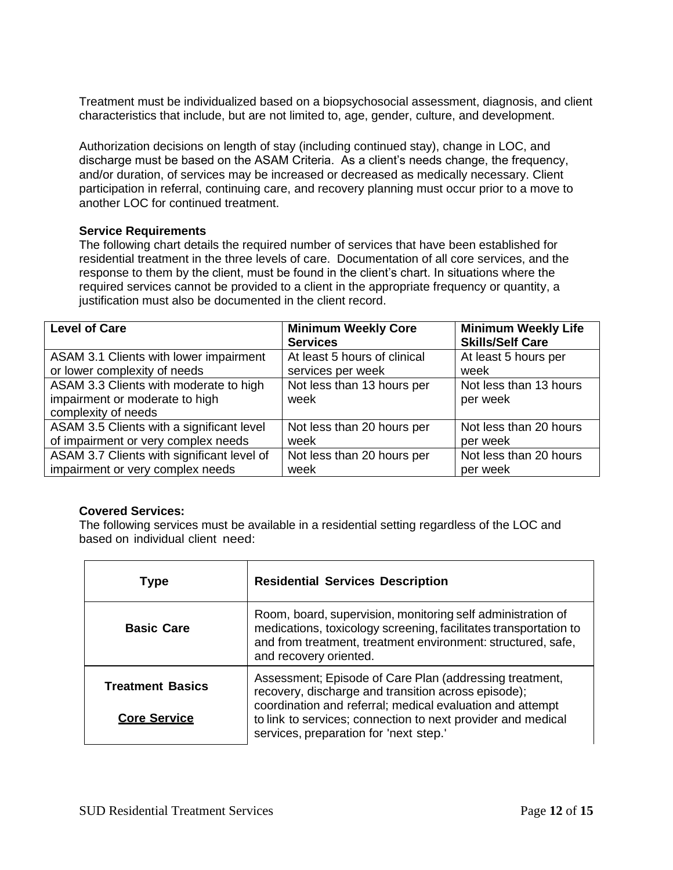Treatment must be individualized based on a biopsychosocial assessment, diagnosis, and client characteristics that include, but are not limited to, age, gender, culture, and development.

Authorization decisions on length of stay (including continued stay), change in LOC, and discharge must be based on the ASAM Criteria. As a client's needs change, the frequency, and/or duration, of services may be increased or decreased as medically necessary. Client participation in referral, continuing care, and recovery planning must occur prior to a move to another LOC for continued treatment.

## **Service Requirements**

The following chart details the required number of services that have been established for residential treatment in the three levels of care. Documentation of all core services, and the response to them by the client, must be found in the client's chart. In situations where the required services cannot be provided to a client in the appropriate frequency or quantity, a justification must also be documented in the client record.

| <b>Level of Care</b>                                                                            | <b>Minimum Weekly Core</b><br><b>Services</b> | <b>Minimum Weekly Life</b><br><b>Skills/Self Care</b> |
|-------------------------------------------------------------------------------------------------|-----------------------------------------------|-------------------------------------------------------|
| ASAM 3.1 Clients with lower impairment                                                          | At least 5 hours of clinical                  | At least 5 hours per                                  |
| or lower complexity of needs                                                                    | services per week                             | week                                                  |
| ASAM 3.3 Clients with moderate to high<br>impairment or moderate to high<br>complexity of needs | Not less than 13 hours per<br>week            | Not less than 13 hours<br>per week                    |
| ASAM 3.5 Clients with a significant level                                                       | Not less than 20 hours per                    | Not less than 20 hours                                |
| of impairment or very complex needs                                                             | week                                          | per week                                              |
| ASAM 3.7 Clients with significant level of                                                      | Not less than 20 hours per                    | Not less than 20 hours                                |
| impairment or very complex needs                                                                | week                                          | per week                                              |

# **Covered Services:**

The following services must be available in a residential setting regardless of the LOC and based on individual client need:

| <b>Type</b>                                    | <b>Residential Services Description</b>                                                                                                                                                                                                                                               |
|------------------------------------------------|---------------------------------------------------------------------------------------------------------------------------------------------------------------------------------------------------------------------------------------------------------------------------------------|
| <b>Basic Care</b>                              | Room, board, supervision, monitoring self administration of<br>medications, toxicology screening, facilitates transportation to<br>and from treatment, treatment environment: structured, safe,<br>and recovery oriented.                                                             |
| <b>Treatment Basics</b><br><b>Core Service</b> | Assessment; Episode of Care Plan (addressing treatment,<br>recovery, discharge and transition across episode);<br>coordination and referral; medical evaluation and attempt<br>to link to services; connection to next provider and medical<br>services, preparation for 'next step.' |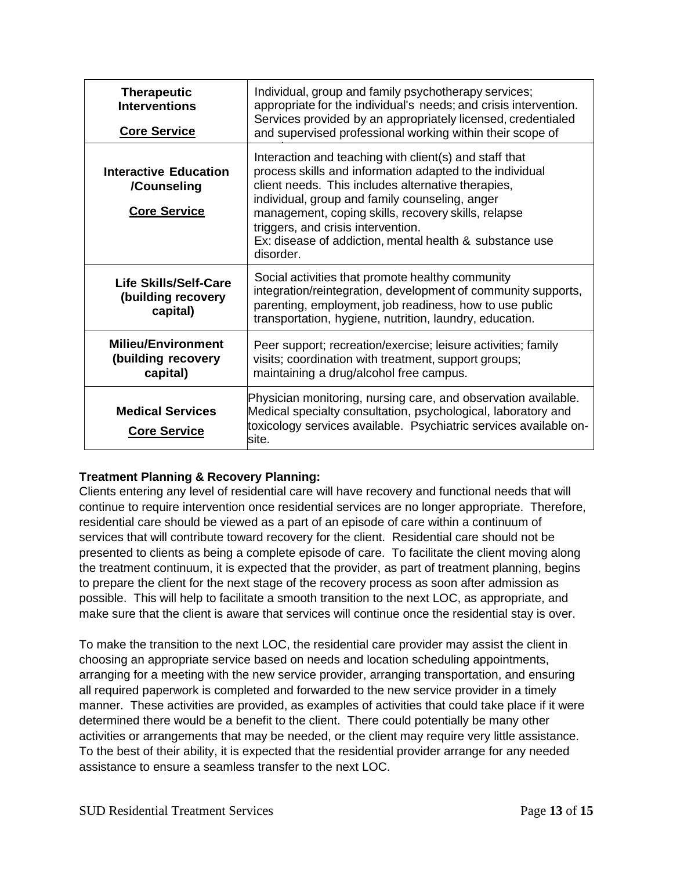| <b>Therapeutic</b><br><b>Interventions</b><br><b>Core Service</b>  | Individual, group and family psychotherapy services;<br>appropriate for the individual's needs; and crisis intervention.<br>Services provided by an appropriately licensed, credentialed<br>and supervised professional working within their scope of                                                                                                                                           |
|--------------------------------------------------------------------|-------------------------------------------------------------------------------------------------------------------------------------------------------------------------------------------------------------------------------------------------------------------------------------------------------------------------------------------------------------------------------------------------|
| <b>Interactive Education</b><br>/Counseling<br><b>Core Service</b> | Interaction and teaching with client(s) and staff that<br>process skills and information adapted to the individual<br>client needs. This includes alternative therapies,<br>individual, group and family counseling, anger<br>management, coping skills, recovery skills, relapse<br>triggers, and crisis intervention.<br>Ex: disease of addiction, mental health & substance use<br>disorder. |
| Life Skills/Self-Care<br>(building recovery<br>capital)            | Social activities that promote healthy community<br>integration/reintegration, development of community supports,<br>parenting, employment, job readiness, how to use public<br>transportation, hygiene, nutrition, laundry, education.                                                                                                                                                         |
| <b>Milieu/Environment</b><br>(building recovery<br>capital)        | Peer support; recreation/exercise; leisure activities; family<br>visits; coordination with treatment, support groups;<br>maintaining a drug/alcohol free campus.                                                                                                                                                                                                                                |
| <b>Medical Services</b><br><b>Core Service</b>                     | Physician monitoring, nursing care, and observation available.<br>Medical specialty consultation, psychological, laboratory and<br>toxicology services available. Psychiatric services available on-<br>lsite.                                                                                                                                                                                  |

# **Treatment Planning & Recovery Planning:**

Clients entering any level of residential care will have recovery and functional needs that will continue to require intervention once residential services are no longer appropriate. Therefore, residential care should be viewed as a part of an episode of care within a continuum of services that will contribute toward recovery for the client. Residential care should not be presented to clients as being a complete episode of care. To facilitate the client moving along the treatment continuum, it is expected that the provider, as part of treatment planning, begins to prepare the client for the next stage of the recovery process as soon after admission as possible. This will help to facilitate a smooth transition to the next LOC, as appropriate, and make sure that the client is aware that services will continue once the residential stay is over.

To make the transition to the next LOC, the residential care provider may assist the client in choosing an appropriate service based on needs and location scheduling appointments, arranging for a meeting with the new service provider, arranging transportation, and ensuring all required paperwork is completed and forwarded to the new service provider in a timely manner. These activities are provided, as examples of activities that could take place if it were determined there would be a benefit to the client. There could potentially be many other activities or arrangements that may be needed, or the client may require very little assistance. To the best of their ability, it is expected that the residential provider arrange for any needed assistance to ensure a seamless transfer to the next LOC.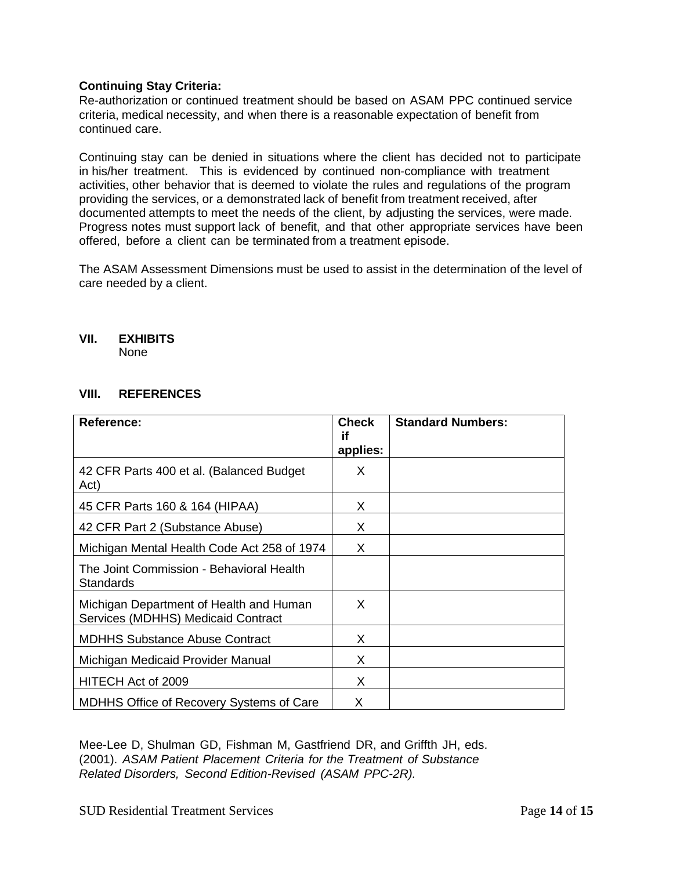# **Continuing Stay Criteria:**

Re-authorization or continued treatment should be based on ASAM PPC continued service criteria, medical necessity, and when there is a reasonable expectation of benefit from continued care.

Continuing stay can be denied in situations where the client has decided not to participate in his/her treatment. This is evidenced by continued non-compliance with treatment activities, other behavior that is deemed to violate the rules and regulations of the program providing the services, or a demonstrated lack of benefit from treatment received, after documented attempts to meet the needs of the client, by adjusting the services, were made. Progress notes must support lack of benefit, and that other appropriate services have been offered, before a client can be terminated from a treatment episode.

The ASAM Assessment Dimensions must be used to assist in the determination of the level of care needed by a client.

## **VII. EXHIBITS**

None

# **VIII. REFERENCES**

| <b>Reference:</b>                                                             | <b>Check</b><br>if<br>applies: | <b>Standard Numbers:</b> |
|-------------------------------------------------------------------------------|--------------------------------|--------------------------|
| 42 CFR Parts 400 et al. (Balanced Budget<br>Act)                              | X                              |                          |
| 45 CFR Parts 160 & 164 (HIPAA)                                                | X                              |                          |
| 42 CFR Part 2 (Substance Abuse)                                               | X                              |                          |
| Michigan Mental Health Code Act 258 of 1974                                   | X                              |                          |
| The Joint Commission - Behavioral Health<br><b>Standards</b>                  |                                |                          |
| Michigan Department of Health and Human<br>Services (MDHHS) Medicaid Contract | X                              |                          |
| <b>MDHHS Substance Abuse Contract</b>                                         | X                              |                          |
| Michigan Medicaid Provider Manual                                             | X                              |                          |
| HITECH Act of 2009                                                            | X                              |                          |
| <b>MDHHS Office of Recovery Systems of Care</b>                               | X                              |                          |

Mee-Lee D, Shulman GD, Fishman M, Gastfriend DR, and Griffth JH, eds. (2001). *ASAM Patient Placement Criteria for the Treatment of Substance Related Disorders, Second Edition-Revised (ASAM PPC-2R).*